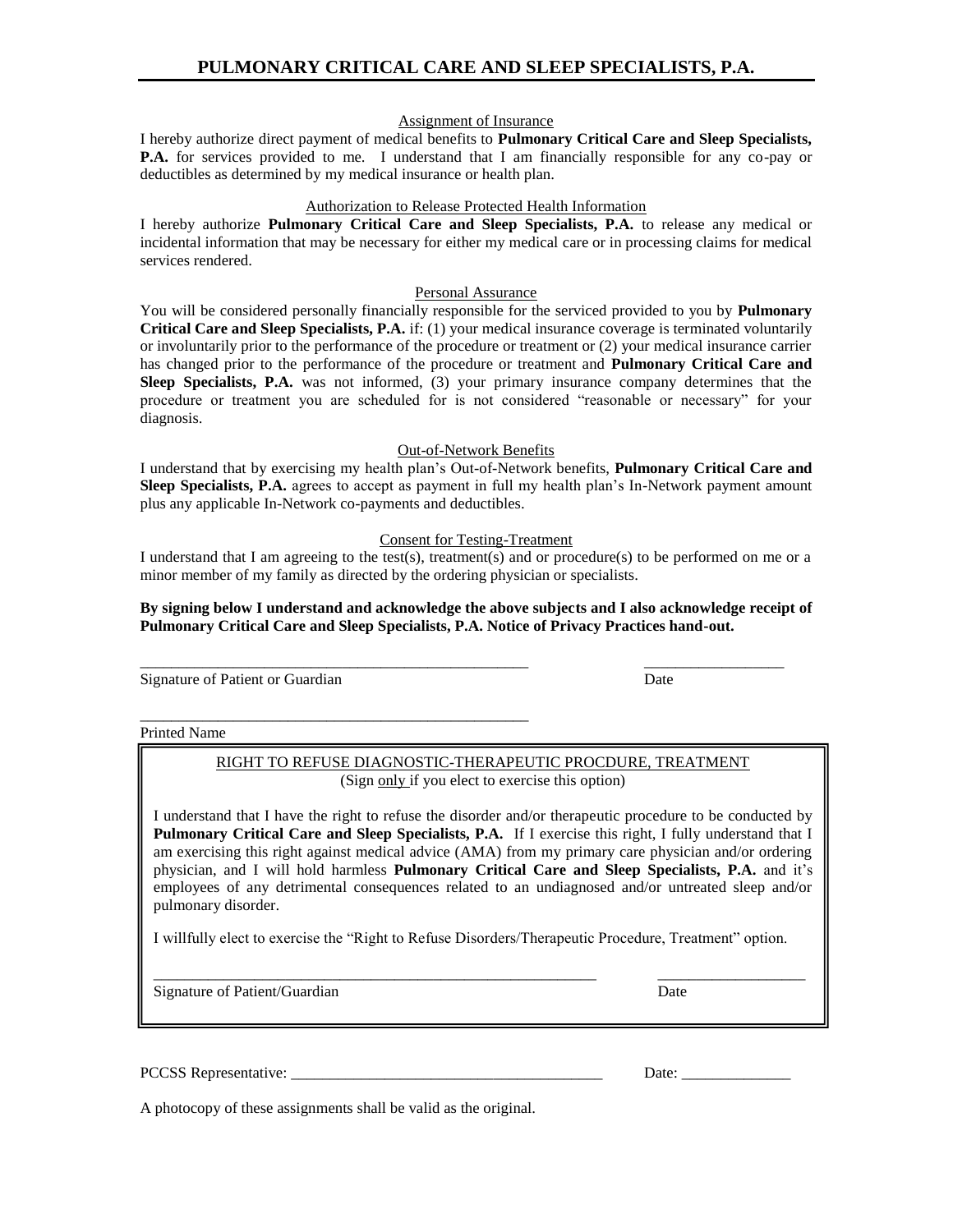Assignment of Insurance

I hereby authorize direct payment of medical benefits to **Pulmonary Critical Care and Sleep Specialists, P.A.** for services provided to me. I understand that I am financially responsible for any co-pay or deductibles as determined by my medical insurance or health plan.

### Authorization to Release Protected Health Information

I hereby authorize **Pulmonary Critical Care and Sleep Specialists, P.A.** to release any medical or incidental information that may be necessary for either my medical care or in processing claims for medical services rendered.

## Personal Assurance

You will be considered personally financially responsible for the serviced provided to you by **Pulmonary Critical Care and Sleep Specialists, P.A.** if: (1) your medical insurance coverage is terminated voluntarily or involuntarily prior to the performance of the procedure or treatment or (2) your medical insurance carrier has changed prior to the performance of the procedure or treatment and **Pulmonary Critical Care and Sleep Specialists, P.A.** was not informed, (3) your primary insurance company determines that the procedure or treatment you are scheduled for is not considered "reasonable or necessary" for your diagnosis.

### Out-of-Network Benefits

I understand that by exercising my health plan's Out-of-Network benefits, **Pulmonary Critical Care and Sleep Specialists, P.A.** agrees to accept as payment in full my health plan's In-Network payment amount plus any applicable In-Network co-payments and deductibles.

### Consent for Testing-Treatment

I understand that I am agreeing to the test(s), treatment(s) and or procedure(s) to be performed on me or a minor member of my family as directed by the ordering physician or specialists.

### **By signing below I understand and acknowledge the above subjects and I also acknowledge receipt of Pulmonary Critical Care and Sleep Specialists, P.A. Notice of Privacy Practices hand-out.**

Signature of Patient or Guardian Date

## Printed Name

# RIGHT TO REFUSE DIAGNOSTIC-THERAPEUTIC PROCDURE, TREATMENT (Sign only if you elect to exercise this option)

I understand that I have the right to refuse the disorder and/or therapeutic procedure to be conducted by **Pulmonary Critical Care and Sleep Specialists, P.A.** If I exercise this right, I fully understand that I am exercising this right against medical advice (AMA) from my primary care physician and/or ordering physician, and I will hold harmless **Pulmonary Critical Care and Sleep Specialists, P.A.** and it's employees of any detrimental consequences related to an undiagnosed and/or untreated sleep and/or pulmonary disorder.

I willfully elect to exercise the "Right to Refuse Disorders/Therapeutic Procedure, Treatment" option.

\_\_\_\_\_\_\_\_\_\_\_\_\_\_\_\_\_\_\_\_\_\_\_\_\_\_\_\_\_\_\_\_\_\_\_\_\_\_\_\_\_\_\_\_\_\_\_\_\_\_\_\_\_\_\_\_\_ \_\_\_\_\_\_\_\_\_\_\_\_\_\_\_\_\_\_\_

Signature of Patient/Guardian Date

PCCSS Representative: \_\_\_\_\_\_\_\_\_\_\_\_\_\_\_\_\_\_\_\_\_\_\_\_\_\_\_\_\_\_\_\_\_\_\_\_\_\_\_\_ Date: \_\_\_\_\_\_\_\_\_\_\_\_\_\_

A photocopy of these assignments shall be valid as the original.

\_\_\_\_\_\_\_\_\_\_\_\_\_\_\_\_\_\_\_\_\_\_\_\_\_\_\_\_\_\_\_\_\_\_\_\_\_\_\_\_\_\_\_\_\_\_\_\_\_\_

\_\_\_\_\_\_\_\_\_\_\_\_\_\_\_\_\_\_\_\_\_\_\_\_\_\_\_\_\_\_\_\_\_\_\_\_\_\_\_\_\_\_\_\_\_\_\_\_\_\_ \_\_\_\_\_\_\_\_\_\_\_\_\_\_\_\_\_\_